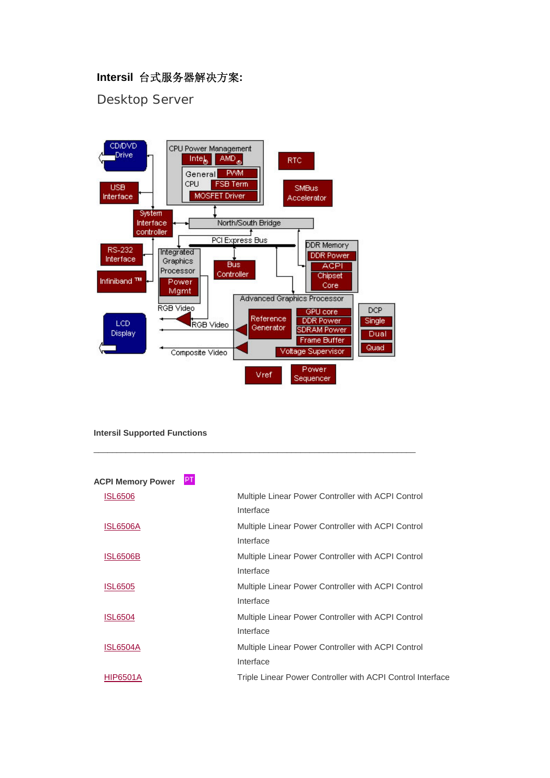## **Intersil** 台式服务器解决方案**:**

Desktop Server



#### **Intersil Supported Functions**

| PT.<br><b>ACPI Memory Power</b> |                                                            |
|---------------------------------|------------------------------------------------------------|
| <b>ISL6506</b>                  | Multiple Linear Power Controller with ACPI Control         |
|                                 | Interface                                                  |
| <b>ISL6506A</b>                 | Multiple Linear Power Controller with ACPI Control         |
|                                 | Interface                                                  |
| <b>ISL6506B</b>                 | Multiple Linear Power Controller with ACPI Control         |
|                                 | Interface                                                  |
| <b>ISL6505</b>                  | Multiple Linear Power Controller with ACPI Control         |
|                                 | Interface                                                  |
| <b>ISL6504</b>                  | Multiple Linear Power Controller with ACPI Control         |
|                                 | Interface                                                  |
| <b>ISL6504A</b>                 | Multiple Linear Power Controller with ACPI Control         |
|                                 | Interface                                                  |
| <b>HIP6501A</b>                 | Triple Linear Power Controller with ACPI Control Interface |
|                                 |                                                            |

 $\_$  , and the set of the set of the set of the set of the set of the set of the set of the set of the set of the set of the set of the set of the set of the set of the set of the set of the set of the set of the set of th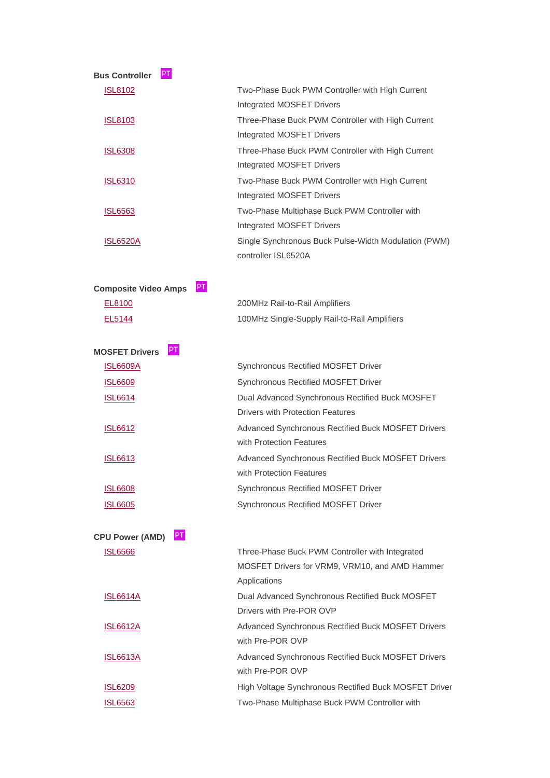| PT.<br><b>Bus Controller</b>      |                                                                                                                   |
|-----------------------------------|-------------------------------------------------------------------------------------------------------------------|
| <b>ISL8102</b>                    | Two-Phase Buck PWM Controller with High Current<br><b>Integrated MOSFET Drivers</b>                               |
| <u>ISL8103</u>                    | Three-Phase Buck PWM Controller with High Current                                                                 |
|                                   | Integrated MOSFET Drivers                                                                                         |
| <b>ISL6308</b>                    | Three-Phase Buck PWM Controller with High Current<br><b>Integrated MOSFET Drivers</b>                             |
| <b>ISL6310</b>                    | Two-Phase Buck PWM Controller with High Current<br><b>Integrated MOSFET Drivers</b>                               |
| <b>ISL6563</b>                    | Two-Phase Multiphase Buck PWM Controller with<br><b>Integrated MOSFET Drivers</b>                                 |
| <b>ISL6520A</b>                   | Single Synchronous Buck Pulse-Width Modulation (PWM)<br>controller ISL6520A                                       |
| PT<br><b>Composite Video Amps</b> |                                                                                                                   |
| EL8100                            | 200MHz Rail-to-Rail Amplifiers                                                                                    |
| EL5144                            | 100MHz Single-Supply Rail-to-Rail Amplifiers                                                                      |
| PT.<br><b>MOSFET Drivers</b>      |                                                                                                                   |
| <b>ISL6609A</b>                   | Synchronous Rectified MOSFET Driver                                                                               |
| <b>ISL6609</b>                    | Synchronous Rectified MOSFET Driver                                                                               |
| <b>ISL6614</b>                    | Dual Advanced Synchronous Rectified Buck MOSFET<br><b>Drivers with Protection Features</b>                        |
| <b>ISL6612</b>                    | Advanced Synchronous Rectified Buck MOSFET Drivers<br>with Protection Features                                    |
| <b>ISL6613</b>                    | Advanced Synchronous Rectified Buck MOSFET Drivers<br>with Protection Features                                    |
| <b>ISL6608</b>                    | Synchronous Rectified MOSFET Driver                                                                               |
| <u>ISL6605</u>                    | Synchronous Rectified MOSFET Driver                                                                               |
| PT<br><b>CPU Power (AMD)</b>      |                                                                                                                   |
| <b>ISL6566</b>                    | Three-Phase Buck PWM Controller with Integrated<br>MOSFET Drivers for VRM9, VRM10, and AMD Hammer<br>Applications |
| <b>ISL6614A</b>                   | Dual Advanced Synchronous Rectified Buck MOSFET<br>Drivers with Pre-POR OVP                                       |
| <b>ISL6612A</b>                   | Advanced Synchronous Rectified Buck MOSFET Drivers<br>with Pre-POR OVP                                            |
| <b>ISL6613A</b>                   | Advanced Synchronous Rectified Buck MOSFET Drivers<br>with Pre-POR OVP                                            |
| <b>ISL6209</b>                    | High Voltage Synchronous Rectified Buck MOSFET Driver                                                             |
| <u>ISL6563</u>                    | Two-Phase Multiphase Buck PWM Controller with                                                                     |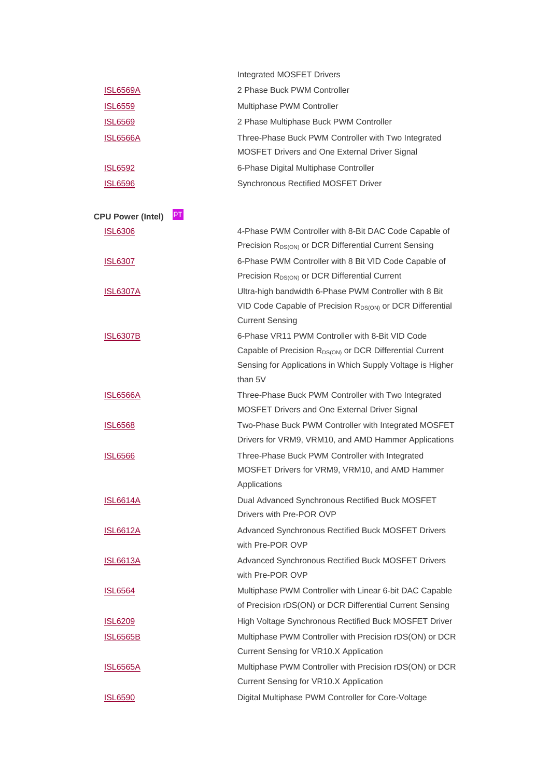|                                | Integrated MOSFET Drivers                                                                                                                     |
|--------------------------------|-----------------------------------------------------------------------------------------------------------------------------------------------|
| <u>ISL6569A</u>                | 2 Phase Buck PWM Controller                                                                                                                   |
| <u>ISL6559</u>                 | Multiphase PWM Controller                                                                                                                     |
| <b>ISL6569</b>                 | 2 Phase Multiphase Buck PWM Controller                                                                                                        |
| <b>ISL6566A</b>                | Three-Phase Buck PWM Controller with Two Integrated<br>MOSFET Drivers and One External Driver Signal                                          |
| <b>ISL6592</b>                 | 6-Phase Digital Multiphase Controller                                                                                                         |
| <u>ISL6596</u>                 | Synchronous Rectified MOSFET Driver                                                                                                           |
| PT<br><b>CPU Power (Intel)</b> |                                                                                                                                               |
| <u>ISL6306</u>                 | 4-Phase PWM Controller with 8-Bit DAC Code Capable of                                                                                         |
|                                | Precision R <sub>DS(ON)</sub> or DCR Differential Current Sensing                                                                             |
| <u>ISL6307</u>                 | 6-Phase PWM Controller with 8 Bit VID Code Capable of                                                                                         |
|                                | Precision R <sub>DS(ON)</sub> or DCR Differential Current                                                                                     |
| <b>ISL6307A</b>                | Ultra-high bandwidth 6-Phase PWM Controller with 8 Bit                                                                                        |
|                                | VID Code Capable of Precision R <sub>DS(ON)</sub> or DCR Differential<br><b>Current Sensing</b>                                               |
| <b>ISL6307B</b>                | 6-Phase VR11 PWM Controller with 8-Bit VID Code                                                                                               |
|                                | Capable of Precision R <sub>DS(ON)</sub> or DCR Differential Current<br>Sensing for Applications in Which Supply Voltage is Higher<br>than 5V |
| <b>ISL6566A</b>                | Three-Phase Buck PWM Controller with Two Integrated                                                                                           |
|                                | MOSFET Drivers and One External Driver Signal                                                                                                 |
| <u>ISL6568</u>                 | Two-Phase Buck PWM Controller with Integrated MOSFET<br>Drivers for VRM9, VRM10, and AMD Hammer Applications                                  |
| <b>ISL6566</b>                 | Three-Phase Buck PWM Controller with Integrated<br>MOSFET Drivers for VRM9, VRM10, and AMD Hammer<br>Applications                             |
| <u>ISL6614A</u>                | Dual Advanced Synchronous Rectified Buck MOSFET<br>Drivers with Pre-POR OVP                                                                   |
| <b>ISL6612A</b>                | Advanced Synchronous Rectified Buck MOSFET Drivers<br>with Pre-POR OVP                                                                        |
| <u>ISL6613A</u>                | Advanced Synchronous Rectified Buck MOSFET Drivers<br>with Pre-POR OVP                                                                        |
| <b>ISL6564</b>                 | Multiphase PWM Controller with Linear 6-bit DAC Capable<br>of Precision rDS(ON) or DCR Differential Current Sensing                           |
| <b>ISL6209</b>                 | High Voltage Synchronous Rectified Buck MOSFET Driver                                                                                         |
| <u>ISL6565B</u>                | Multiphase PWM Controller with Precision rDS(ON) or DCR                                                                                       |
|                                | Current Sensing for VR10.X Application                                                                                                        |
| <u>ISL6565A</u>                | Multiphase PWM Controller with Precision rDS(ON) or DCR                                                                                       |
|                                | Current Sensing for VR10.X Application                                                                                                        |
| <u>ISL6590</u>                 | Digital Multiphase PWM Controller for Core-Voltage                                                                                            |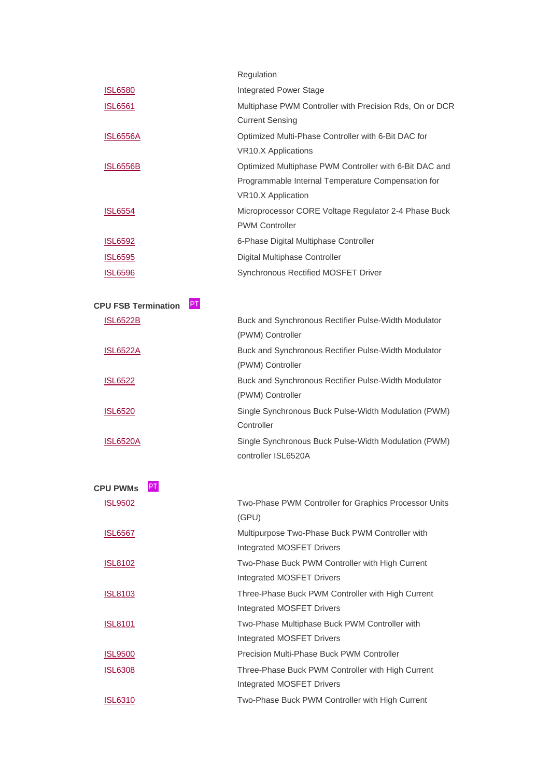|                                  | Regulation                                              |
|----------------------------------|---------------------------------------------------------|
| <b>ISL6580</b>                   | <b>Integrated Power Stage</b>                           |
| <b>ISL6561</b>                   | Multiphase PWM Controller with Precision Rds, On or DCR |
|                                  | <b>Current Sensing</b>                                  |
| <u>ISL6556A</u>                  | Optimized Multi-Phase Controller with 6-Bit DAC for     |
|                                  | <b>VR10.X Applications</b>                              |
| <b>ISL6556B</b>                  | Optimized Multiphase PWM Controller with 6-Bit DAC and  |
|                                  | Programmable Internal Temperature Compensation for      |
|                                  | VR10.X Application                                      |
| <b>ISL6554</b>                   | Microprocessor CORE Voltage Regulator 2-4 Phase Buck    |
|                                  | <b>PWM Controller</b>                                   |
| <b>ISL6592</b>                   | 6-Phase Digital Multiphase Controller                   |
| <b>ISL6595</b>                   | Digital Multiphase Controller                           |
| <b>ISL6596</b>                   | Synchronous Rectified MOSFET Driver                     |
|                                  |                                                         |
| PT<br><b>CPU FSB Termination</b> |                                                         |
| <b>ISL6522B</b>                  | Buck and Synchronous Rectifier Pulse-Width Modulator    |
|                                  | (PWM) Controller                                        |
| <b>ISL6522A</b>                  | Buck and Synchronous Rectifier Pulse-Width Modulator    |
|                                  | (PWM) Controller                                        |
| <b>ISL6522</b>                   | Buck and Synchronous Rectifier Pulse-Width Modulator    |
|                                  | (PWM) Controller                                        |
| <b>ISL6520</b>                   | Single Synchronous Buck Pulse-Width Modulation (PWM)    |
|                                  | Controller                                              |
| <b>ISL6520A</b>                  | Single Synchronous Buck Pulse-Width Modulation (PWM)    |

| PT<br><b>CPU PWMs</b> |                                                                                       |
|-----------------------|---------------------------------------------------------------------------------------|
| <b>ISL9502</b>        | Two-Phase PWM Controller for Graphics Processor Units<br>(GPU)                        |
| <b>ISL6567</b>        | Multipurpose Two-Phase Buck PWM Controller with<br>Integrated MOSFET Drivers          |
| <b>ISL8102</b>        | Two-Phase Buck PWM Controller with High Current<br><b>Integrated MOSFET Drivers</b>   |
| <u>ISL8103</u>        | Three-Phase Buck PWM Controller with High Current<br>Integrated MOSFET Drivers        |
| <b>ISL8101</b>        | Two-Phase Multiphase Buck PWM Controller with<br><b>Integrated MOSFET Drivers</b>     |
| <u>ISL9500</u>        | Precision Multi-Phase Buck PWM Controller                                             |
| <b>ISL6308</b>        | Three-Phase Buck PWM Controller with High Current<br><b>Integrated MOSFET Drivers</b> |
| <b>ISL6310</b>        | Two-Phase Buck PWM Controller with High Current                                       |

controller ISL6520A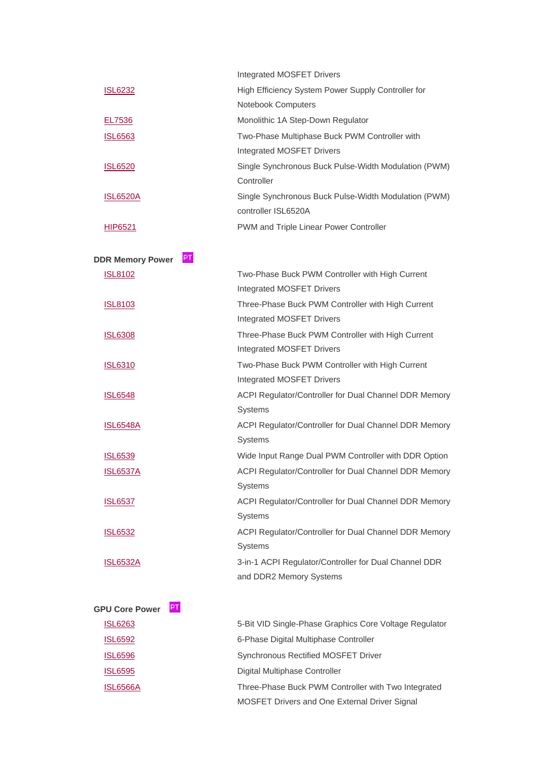|                 | <b>Integrated MOSFET Drivers</b>                     |
|-----------------|------------------------------------------------------|
| <b>ISL6232</b>  | High Efficiency System Power Supply Controller for   |
|                 | <b>Notebook Computers</b>                            |
| EL7536          | Monolithic 1A Step-Down Regulator                    |
| <b>ISL6563</b>  | Two-Phase Multiphase Buck PWM Controller with        |
|                 | <b>Integrated MOSFET Drivers</b>                     |
| <b>ISL6520</b>  | Single Synchronous Buck Pulse-Width Modulation (PWM) |
|                 | Controller                                           |
| <b>ISL6520A</b> | Single Synchronous Buck Pulse-Width Modulation (PWM) |
|                 | controller ISL6520A                                  |
| <b>HIP6521</b>  | <b>PWM and Triple Linear Power Controller</b>        |

| PT.<br><b>DDR Memory Power</b> |                                                        |
|--------------------------------|--------------------------------------------------------|
| <b>ISL8102</b>                 | Two-Phase Buck PWM Controller with High Current        |
|                                | <b>Integrated MOSFET Drivers</b>                       |
| <b>ISL8103</b>                 | Three-Phase Buck PWM Controller with High Current      |
|                                | <b>Integrated MOSFET Drivers</b>                       |
| <b>ISL6308</b>                 | Three-Phase Buck PWM Controller with High Current      |
|                                | <b>Integrated MOSFET Drivers</b>                       |
| <b>ISL6310</b>                 | Two-Phase Buck PWM Controller with High Current        |
|                                | <b>Integrated MOSFET Drivers</b>                       |
| <b>ISL6548</b>                 | ACPI Regulator/Controller for Dual Channel DDR Memory  |
|                                | <b>Systems</b>                                         |
| <b>ISL6548A</b>                | ACPI Regulator/Controller for Dual Channel DDR Memory  |
|                                | Systems                                                |
| <b>ISL6539</b>                 | Wide Input Range Dual PWM Controller with DDR Option   |
| <b>ISL6537A</b>                | ACPI Regulator/Controller for Dual Channel DDR Memory  |
|                                | <b>Systems</b>                                         |
| <b>ISL6537</b>                 | ACPI Regulator/Controller for Dual Channel DDR Memory  |
|                                | <b>Systems</b>                                         |
| <b>ISL6532</b>                 | ACPI Regulator/Controller for Dual Channel DDR Memory  |
|                                | Systems                                                |
| <b>ISL6532A</b>                | 3-in-1 ACPI Regulator/Controller for Dual Channel DDR  |
|                                | and DDR2 Memory Systems                                |
|                                |                                                        |
| PT<br><b>GPU Core Power</b>    |                                                        |
| <b>ISL6263</b>                 | 5-Bit VID Single-Phase Graphics Core Voltage Regulator |
| <b>ISL6592</b>                 | 6-Phase Digital Multiphase Controller                  |

| <b>Synchronous Rectified MOSFET Driver</b> |  |  |
|--------------------------------------------|--|--|
|                                            |  |  |

[ISL6595](http://www.intersil.com/products/deviceinfo.asp?pn=ISL6595) Digital Multiphase Controller

**[ISL6596](http://www.intersil.com/products/deviceinfo.asp?pn=ISL6596)** 

 [ISL6566A](http://www.intersil.com/products/deviceinfo.asp?pn=ISL6566A) Three-Phase Buck PWM Controller with Two Integrated MOSFET Drivers and One External Driver Signal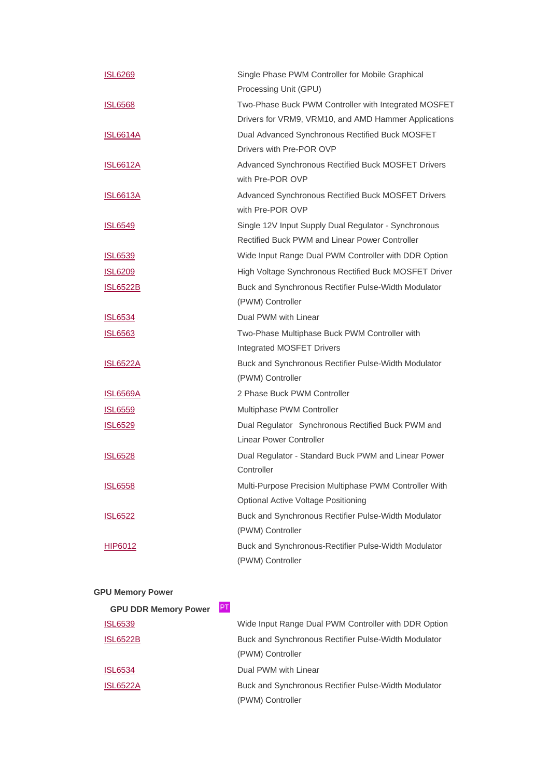| <b>ISL6269</b>  | Single Phase PWM Controller for Mobile Graphical       |
|-----------------|--------------------------------------------------------|
|                 | Processing Unit (GPU)                                  |
| <b>ISL6568</b>  | Two-Phase Buck PWM Controller with Integrated MOSFET   |
|                 | Drivers for VRM9, VRM10, and AMD Hammer Applications   |
| <u>ISL6614A</u> | Dual Advanced Synchronous Rectified Buck MOSFET        |
|                 | Drivers with Pre-POR OVP                               |
| <b>ISL6612A</b> | Advanced Synchronous Rectified Buck MOSFET Drivers     |
|                 | with Pre-POR OVP                                       |
| <b>ISL6613A</b> | Advanced Synchronous Rectified Buck MOSFET Drivers     |
|                 | with Pre-POR OVP                                       |
| <b>ISL6549</b>  | Single 12V Input Supply Dual Regulator - Synchronous   |
|                 | Rectified Buck PWM and Linear Power Controller         |
| <u>ISL6539</u>  | Wide Input Range Dual PWM Controller with DDR Option   |
| <b>ISL6209</b>  | High Voltage Synchronous Rectified Buck MOSFET Driver  |
| <b>ISL6522B</b> | Buck and Synchronous Rectifier Pulse-Width Modulator   |
|                 | (PWM) Controller                                       |
| <b>ISL6534</b>  | Dual PWM with Linear                                   |
| <b>ISL6563</b>  | Two-Phase Multiphase Buck PWM Controller with          |
|                 | Integrated MOSFET Drivers                              |
| <u>ISL6522A</u> | Buck and Synchronous Rectifier Pulse-Width Modulator   |
|                 | (PWM) Controller                                       |
| <b>ISL6569A</b> | 2 Phase Buck PWM Controller                            |
| <b>ISL6559</b>  | Multiphase PWM Controller                              |
| <b>ISL6529</b>  | Dual Regulator Synchronous Rectified Buck PWM and      |
|                 | <b>Linear Power Controller</b>                         |
| <b>ISL6528</b>  | Dual Regulator - Standard Buck PWM and Linear Power    |
|                 | Controller                                             |
| <b>ISL6558</b>  | Multi-Purpose Precision Multiphase PWM Controller With |
|                 | <b>Optional Active Voltage Positioning</b>             |
| <b>ISL6522</b>  | Buck and Synchronous Rectifier Pulse-Width Modulator   |
|                 | (PWM) Controller                                       |
| <b>HIP6012</b>  | Buck and Synchronous-Rectifier Pulse-Width Modulator   |
|                 | (PWM) Controller                                       |

### **GPU Memory Power**

| <b>GPU DDR Memory Power</b> | PT. |                                                      |
|-----------------------------|-----|------------------------------------------------------|
| <b>ISL6539</b>              |     | Wide Input Range Dual PWM Controller with DDR Option |
| <b>ISL6522B</b>             |     | Buck and Synchronous Rectifier Pulse-Width Modulator |
|                             |     | (PWM) Controller                                     |
| <b>ISL6534</b>              |     | Dual PWM with Linear                                 |
| <b>ISL6522A</b>             |     | Buck and Synchronous Rectifier Pulse-Width Modulator |
|                             |     | (PWM) Controller                                     |
|                             |     |                                                      |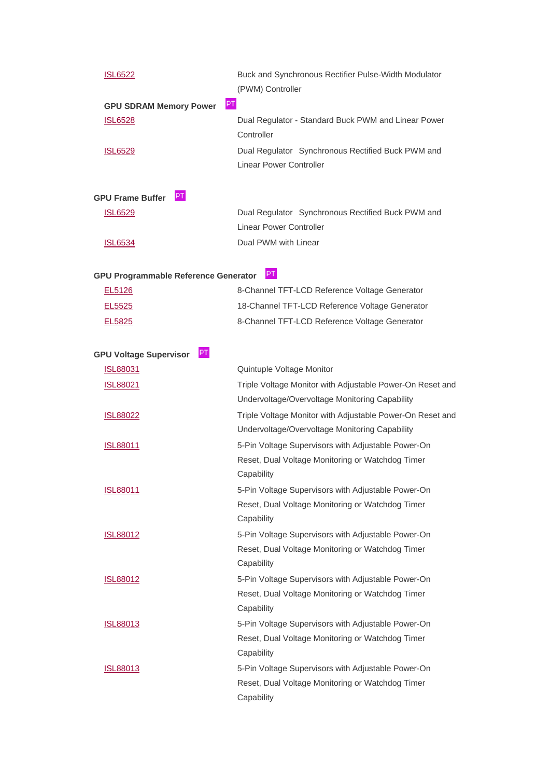| <b>ISL6522</b>                              | Buck and Synchronous Rectifier Pulse-Width Modulator                         |
|---------------------------------------------|------------------------------------------------------------------------------|
|                                             | (PWM) Controller                                                             |
| PT.<br><b>GPU SDRAM Memory Power</b>        |                                                                              |
| <b>ISL6528</b>                              | Dual Regulator - Standard Buck PWM and Linear Power<br>Controller            |
| <b>ISL6529</b>                              | Dual Regulator Synchronous Rectified Buck PWM and<br>Linear Power Controller |
| PT<br><b>GPU Frame Buffer</b>               |                                                                              |
| <b>ISL6529</b>                              | Dual Regulator Synchronous Rectified Buck PWM and                            |
|                                             | <b>Linear Power Controller</b>                                               |
| <b>ISL6534</b>                              | Dual PWM with Linear                                                         |
| <b>GPU Programmable Reference Generator</b> | PT                                                                           |
| EL5126                                      | 8-Channel TFT-LCD Reference Voltage Generator                                |
| EL5525                                      | 18-Channel TFT-LCD Reference Voltage Generator                               |
| EL5825                                      | 8-Channel TFT-LCD Reference Voltage Generator                                |

| PT.<br><b>GPU Voltage Supervisor</b> |                                                                |
|--------------------------------------|----------------------------------------------------------------|
| <b>ISL88031</b>                      | Quintuple Voltage Monitor                                      |
| <b>ISL88021</b>                      | Triple Voltage Monitor with Adjustable Power-On Reset and      |
|                                      | Undervoltage/Overvoltage Monitoring Capability                 |
| <b>ISL88022</b>                      | Triple Voltage Monitor with Adjustable Power-On Reset and      |
|                                      | Undervoltage/Overvoltage Monitoring Capability                 |
| <u>ISL88011</u>                      | 5-Pin Voltage Supervisors with Adjustable Power-On             |
|                                      | Reset, Dual Voltage Monitoring or Watchdog Timer<br>Capability |
| <b>ISL88011</b>                      | 5-Pin Voltage Supervisors with Adjustable Power-On             |
|                                      | Reset, Dual Voltage Monitoring or Watchdog Timer               |
|                                      | Capability                                                     |
| <b>ISL88012</b>                      | 5-Pin Voltage Supervisors with Adjustable Power-On             |
|                                      | Reset, Dual Voltage Monitoring or Watchdog Timer               |
|                                      | Capability                                                     |
| <b>ISL88012</b>                      | 5-Pin Voltage Supervisors with Adjustable Power-On             |
|                                      | Reset, Dual Voltage Monitoring or Watchdog Timer               |
|                                      | Capability                                                     |
| <b>ISL88013</b>                      | 5-Pin Voltage Supervisors with Adjustable Power-On             |
|                                      | Reset, Dual Voltage Monitoring or Watchdog Timer               |
|                                      | Capability                                                     |
| <b>ISL88013</b>                      | 5-Pin Voltage Supervisors with Adjustable Power-On             |
|                                      | Reset, Dual Voltage Monitoring or Watchdog Timer               |
|                                      | Capability                                                     |
|                                      |                                                                |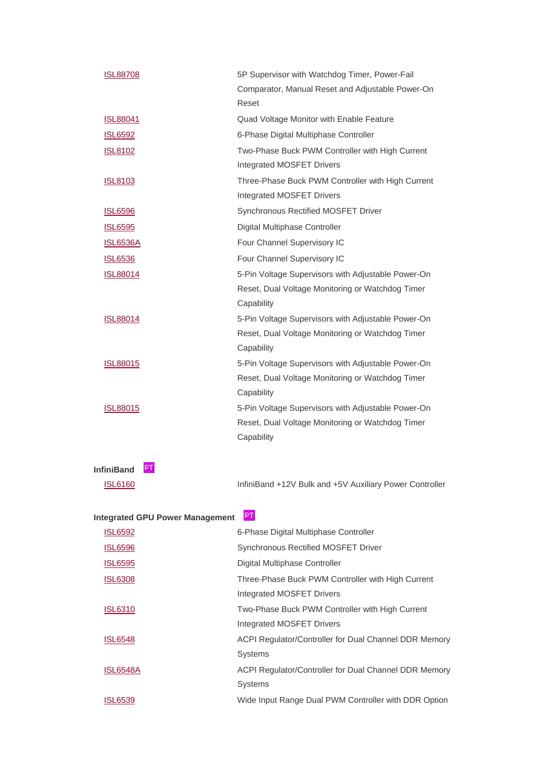| <b>ISL88708</b>         | 5P Supervisor with Watchdog Timer, Power-Fail      |
|-------------------------|----------------------------------------------------|
|                         | Comparator, Manual Reset and Adjustable Power-On   |
|                         | Reset                                              |
| <b>ISL88041</b>         | Quad Voltage Monitor with Enable Feature           |
| <b>ISL6592</b>          | 6-Phase Digital Multiphase Controller              |
| <b>ISL8102</b>          | Two-Phase Buck PWM Controller with High Current    |
|                         | <b>Integrated MOSFET Drivers</b>                   |
| <b>ISL8103</b>          | Three-Phase Buck PWM Controller with High Current  |
|                         | <b>Integrated MOSFET Drivers</b>                   |
| <b>ISL6596</b>          | Synchronous Rectified MOSFET Driver                |
| <b>ISL6595</b>          | Digital Multiphase Controller                      |
| <b>ISL6536A</b>         | Four Channel Supervisory IC                        |
| <b>ISL6536</b>          | Four Channel Supervisory IC                        |
| <b>ISL88014</b>         | 5-Pin Voltage Supervisors with Adjustable Power-On |
|                         | Reset, Dual Voltage Monitoring or Watchdog Timer   |
|                         | Capability                                         |
| <b>ISL88014</b>         | 5-Pin Voltage Supervisors with Adjustable Power-On |
|                         | Reset, Dual Voltage Monitoring or Watchdog Timer   |
|                         | Capability                                         |
| <b>ISL88015</b>         | 5-Pin Voltage Supervisors with Adjustable Power-On |
|                         | Reset, Dual Voltage Monitoring or Watchdog Timer   |
|                         | Capability                                         |
| <b>ISL88015</b>         | 5-Pin Voltage Supervisors with Adjustable Power-On |
|                         | Reset, Dual Voltage Monitoring or Watchdog Timer   |
|                         | Capability                                         |
|                         |                                                    |
| PТ<br><b>InfiniBand</b> |                                                    |

**InfiniBand**

[ISL6160](http://www.intersil.com/products/deviceinfo.asp?pn=ISL6160) InfiniBand +12V Bulk and +5V Auxiliary Power Controller

# **Integrated GPU Power Management**

| <b>ISL6592</b>  | 6-Phase Digital Multiphase Controller                 |
|-----------------|-------------------------------------------------------|
| <b>ISL6596</b>  | Synchronous Rectified MOSFET Driver                   |
| <b>ISL6595</b>  | Digital Multiphase Controller                         |
| <b>ISL6308</b>  | Three-Phase Buck PWM Controller with High Current     |
|                 | <b>Integrated MOSFET Drivers</b>                      |
| <b>ISL6310</b>  | Two-Phase Buck PWM Controller with High Current       |
|                 | <b>Integrated MOSFET Drivers</b>                      |
| <b>ISL6548</b>  | ACPI Regulator/Controller for Dual Channel DDR Memory |
|                 | <b>Systems</b>                                        |
| <b>ISL6548A</b> | ACPI Regulator/Controller for Dual Channel DDR Memory |
|                 | <b>Systems</b>                                        |
| ISL6539         | Wide Input Range Dual PWM Controller with DDR Option  |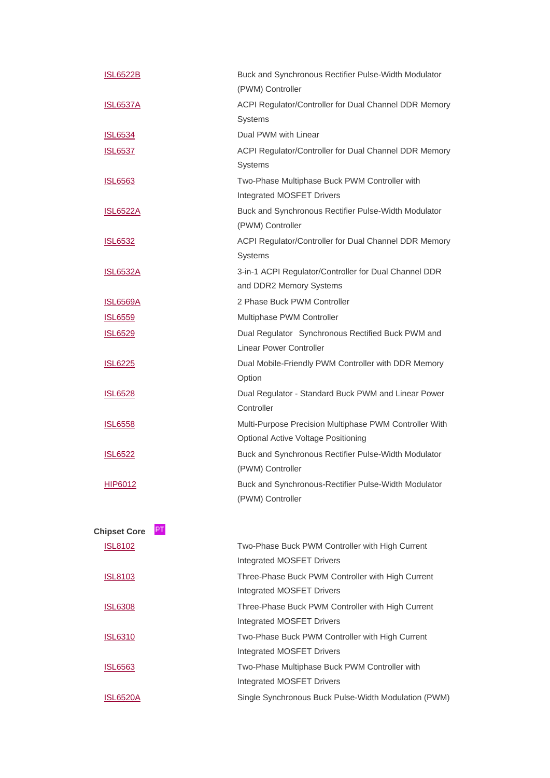| <b>ISL6522B</b>           | Buck and Synchronous Rectifier Pulse-Width Modulator   |
|---------------------------|--------------------------------------------------------|
|                           | (PWM) Controller                                       |
| <u>ISL6537A</u>           | ACPI Regulator/Controller for Dual Channel DDR Memory  |
|                           | Systems                                                |
| <b>ISL6534</b>            | Dual PWM with Linear                                   |
| <b>ISL6537</b>            | ACPI Regulator/Controller for Dual Channel DDR Memory  |
|                           | Systems                                                |
| <b>ISL6563</b>            | Two-Phase Multiphase Buck PWM Controller with          |
|                           | Integrated MOSFET Drivers                              |
| <u>ISL6522A</u>           | Buck and Synchronous Rectifier Pulse-Width Modulator   |
|                           | (PWM) Controller                                       |
| <b>ISL6532</b>            | ACPI Regulator/Controller for Dual Channel DDR Memory  |
|                           | Systems                                                |
| <b>ISL6532A</b>           | 3-in-1 ACPI Regulator/Controller for Dual Channel DDR  |
|                           | and DDR2 Memory Systems                                |
| <u>ISL6569A</u>           | 2 Phase Buck PWM Controller                            |
| <b>ISL6559</b>            | Multiphase PWM Controller                              |
| <b>ISL6529</b>            | Dual Regulator Synchronous Rectified Buck PWM and      |
|                           | <b>Linear Power Controller</b>                         |
| <b>ISL6225</b>            | Dual Mobile-Friendly PWM Controller with DDR Memory    |
|                           | Option                                                 |
| <b>ISL6528</b>            | Dual Regulator - Standard Buck PWM and Linear Power    |
|                           | Controller                                             |
| <b>ISL6558</b>            | Multi-Purpose Precision Multiphase PWM Controller With |
|                           | <b>Optional Active Voltage Positioning</b>             |
| <u>ISL6522</u>            | Buck and Synchronous Rectifier Pulse-Width Modulator   |
|                           | (PWM) Controller                                       |
| HIP6012                   | Buck and Synchronous-Rectifier Pulse-Width Modulator   |
|                           | (PWM) Controller                                       |
|                           |                                                        |
| PT<br><b>Chipset Core</b> |                                                        |

| <b>ISL8102</b> | Two-Phase Buck PWM Controller with High Current      |
|----------------|------------------------------------------------------|
|                | <b>Integrated MOSFET Drivers</b>                     |
| <b>ISL8103</b> | Three-Phase Buck PWM Controller with High Current    |
|                | Integrated MOSFET Drivers                            |
| <b>ISL6308</b> | Three-Phase Buck PWM Controller with High Current    |
|                | <b>Integrated MOSFET Drivers</b>                     |
| <b>ISL6310</b> | Two-Phase Buck PWM Controller with High Current      |
|                | <b>Integrated MOSFET Drivers</b>                     |
| <b>ISL6563</b> | Two-Phase Multiphase Buck PWM Controller with        |
|                | <b>Integrated MOSFET Drivers</b>                     |
| ISL6520A       | Single Synchronous Buck Pulse-Width Modulation (PWM) |
|                |                                                      |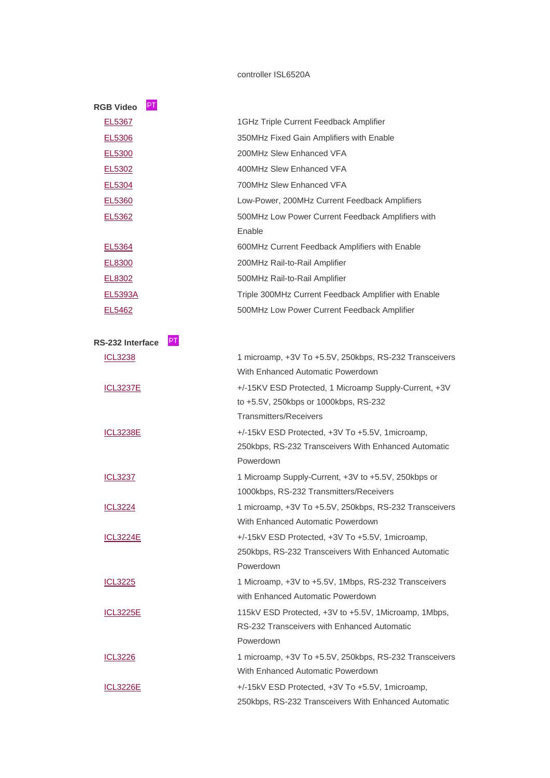#### controller ISL6520A

| <b>RGB Video</b> | PT                                                   |
|------------------|------------------------------------------------------|
| EL5367           | 1GHz Triple Current Feedback Amplifier               |
| EL5306           | 350MHz Fixed Gain Amplifiers with Enable             |
| EL5300           | 200MHz Slew Enhanced VFA                             |
| EL5302           | 400MHz Slew Enhanced VFA                             |
| EL5304           | 700MHz Slew Enhanced VFA                             |
| EL5360           | Low-Power, 200MHz Current Feedback Amplifiers        |
| EL5362           | 500MHz Low Power Current Feedback Amplifiers with    |
|                  | Enable                                               |
| EL5364           | 600MHz Current Feedback Amplifiers with Enable       |
| EL8300           | 200MHz Rail-to-Rail Amplifier                        |
| EL8302           | 500MHz Rail-to-Rail Amplifier                        |
| EL5393A          | Triple 300MHz Current Feedback Amplifier with Enable |
| EL5462           | 500MHz Low Power Current Feedback Amplifier          |
|                  |                                                      |

| PT.<br>RS-232 Interface |                                                        |
|-------------------------|--------------------------------------------------------|
| <b>ICL3238</b>          | 1 microamp, +3V To +5.5V, 250kbps, RS-232 Transceivers |
|                         | With Enhanced Automatic Powerdown                      |
| <b>ICL3237E</b>         | +/-15KV ESD Protected, 1 Microamp Supply-Current, +3V  |
|                         | to +5.5V, 250kbps or 1000kbps, RS-232                  |
|                         | <b>Transmitters/Receivers</b>                          |
| <b>ICL3238E</b>         | +/-15kV ESD Protected, +3V To +5.5V, 1 microamp,       |
|                         | 250kbps, RS-232 Transceivers With Enhanced Automatic   |
|                         | Powerdown                                              |
| <b>ICL3237</b>          | 1 Microamp Supply-Current, +3V to +5.5V, 250kbps or    |
|                         | 1000kbps, RS-232 Transmitters/Receivers                |
| <b>ICL3224</b>          | 1 microamp, +3V To +5.5V, 250kbps, RS-232 Transceivers |
|                         | With Enhanced Automatic Powerdown                      |
| <b>ICL3224E</b>         | +/-15kV ESD Protected, +3V To +5.5V, 1 microamp,       |
|                         | 250kbps, RS-232 Transceivers With Enhanced Automatic   |
|                         | Powerdown                                              |
| <b>ICL3225</b>          | 1 Microamp, +3V to +5.5V, 1Mbps, RS-232 Transceivers   |
|                         | with Enhanced Automatic Powerdown                      |
| <b>ICL3225E</b>         | 115kV ESD Protected, +3V to +5.5V, 1Microamp, 1Mbps,   |
|                         | RS-232 Transceivers with Enhanced Automatic            |
|                         | Powerdown                                              |
| <b>ICL3226</b>          | 1 microamp, +3V To +5.5V, 250kbps, RS-232 Transceivers |
|                         | With Enhanced Automatic Powerdown                      |
| <b>ICL3226E</b>         | +/-15kV ESD Protected, +3V To +5.5V, 1 microamp,       |
|                         | 250kbps, RS-232 Transceivers With Enhanced Automatic   |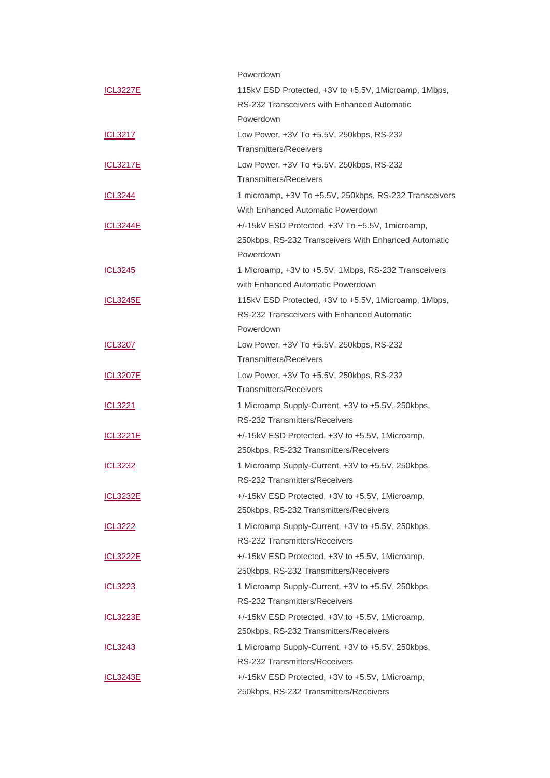|                 | Powerdown                                              |
|-----------------|--------------------------------------------------------|
| <b>ICL3227E</b> | 115kV ESD Protected, +3V to +5.5V, 1Microamp, 1Mbps,   |
|                 | RS-232 Transceivers with Enhanced Automatic            |
|                 | Powerdown                                              |
| ICL3217         | Low Power, +3V To +5.5V, 250kbps, RS-232               |
|                 | Transmitters/Receivers                                 |
| <b>ICL3217E</b> | Low Power, +3V To +5.5V, 250kbps, RS-232               |
|                 | <b>Transmitters/Receivers</b>                          |
| <b>ICL3244</b>  | 1 microamp, +3V To +5.5V, 250kbps, RS-232 Transceivers |
|                 | With Enhanced Automatic Powerdown                      |
| <b>ICL3244E</b> | +/-15kV ESD Protected, +3V To +5.5V, 1microamp,        |
|                 | 250kbps, RS-232 Transceivers With Enhanced Automatic   |
|                 | Powerdown                                              |
| <u>ICL3245</u>  | 1 Microamp, +3V to +5.5V, 1Mbps, RS-232 Transceivers   |
|                 | with Enhanced Automatic Powerdown                      |
| <b>ICL3245E</b> | 115kV ESD Protected, +3V to +5.5V, 1Microamp, 1Mbps,   |
|                 | RS-232 Transceivers with Enhanced Automatic            |
|                 | Powerdown                                              |
| <b>ICL3207</b>  | Low Power, +3V To +5.5V, 250kbps, RS-232               |
|                 | <b>Transmitters/Receivers</b>                          |
| <b>ICL3207E</b> | Low Power, +3V To +5.5V, 250kbps, RS-232               |
|                 | <b>Transmitters/Receivers</b>                          |
| <b>ICL3221</b>  | 1 Microamp Supply-Current, +3V to +5.5V, 250kbps,      |
|                 | RS-232 Transmitters/Receivers                          |
| <u>ICL3221E</u> | +/-15kV ESD Protected, +3V to +5.5V, 1Microamp,        |
|                 | 250kbps, RS-232 Transmitters/Receivers                 |
| <b>ICL3232</b>  | 1 Microamp Supply-Current, +3V to +5.5V, 250kbps,      |
|                 | RS-232 Transmitters/Receivers                          |
| <b>ICL3232E</b> | +/-15kV ESD Protected, +3V to +5.5V, 1Microamp,        |
|                 | 250kbps, RS-232 Transmitters/Receivers                 |
| <b>ICL3222</b>  | 1 Microamp Supply-Current, +3V to +5.5V, 250kbps,      |
|                 | RS-232 Transmitters/Receivers                          |
| <b>ICL3222E</b> | +/-15kV ESD Protected, +3V to +5.5V, 1Microamp,        |
|                 | 250kbps, RS-232 Transmitters/Receivers                 |
| ICL3223         | 1 Microamp Supply-Current, +3V to +5.5V, 250kbps,      |
|                 | RS-232 Transmitters/Receivers                          |
| <b>ICL3223E</b> | +/-15kV ESD Protected, +3V to +5.5V, 1Microamp,        |
|                 | 250kbps, RS-232 Transmitters/Receivers                 |
| ICL3243         | 1 Microamp Supply-Current, +3V to +5.5V, 250kbps,      |
|                 | RS-232 Transmitters/Receivers                          |
| <b>ICL3243E</b> | +/-15kV ESD Protected, +3V to +5.5V, 1Microamp,        |
|                 | 250kbps, RS-232 Transmitters/Receivers                 |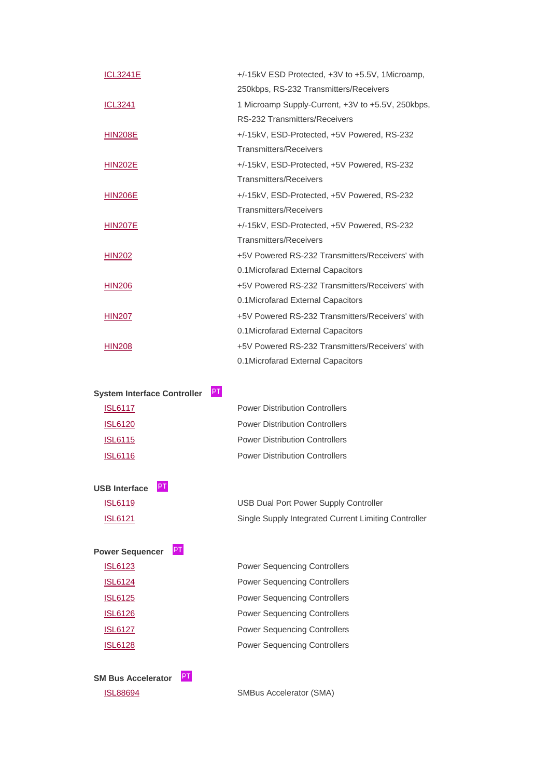| <b>ICL3241E</b> | +/-15kV ESD Protected, +3V to +5.5V, 1Microamp,   |
|-----------------|---------------------------------------------------|
|                 | 250kbps, RS-232 Transmitters/Receivers            |
| <b>ICL3241</b>  | 1 Microamp Supply-Current, +3V to +5.5V, 250kbps, |
|                 | RS-232 Transmitters/Receivers                     |
| <b>HIN208E</b>  | +/-15kV, ESD-Protected, +5V Powered, RS-232       |
|                 | <b>Transmitters/Receivers</b>                     |
| <b>HIN202E</b>  | +/-15kV, ESD-Protected, +5V Powered, RS-232       |
|                 | <b>Transmitters/Receivers</b>                     |
| <b>HIN206E</b>  | +/-15kV, ESD-Protected, +5V Powered, RS-232       |
|                 | <b>Transmitters/Receivers</b>                     |
| <b>HIN207E</b>  | +/-15kV, ESD-Protected, +5V Powered, RS-232       |
|                 | <b>Transmitters/Receivers</b>                     |
| <b>HIN202</b>   | +5V Powered RS-232 Transmitters/Receivers' with   |
|                 | 0.1 Microfarad External Capacitors                |
| <b>HIN206</b>   | +5V Powered RS-232 Transmitters/Receivers' with   |
|                 | 0.1Microfarad External Capacitors                 |
| <b>HIN207</b>   | +5V Powered RS-232 Transmitters/Receivers' with   |
|                 | 0.1 Microfarad External Capacitors                |
| <b>HIN208</b>   | +5V Powered RS-232 Transmitters/Receivers' with   |
|                 | 0.1 Microfarad External Capacitors                |

| <b>System Interface Controller</b> | PT                                    |
|------------------------------------|---------------------------------------|
| <b>ISL6117</b>                     | <b>Power Distribution Controllers</b> |
| <b>ISL6120</b>                     | <b>Power Distribution Controllers</b> |
| <b>ISL6115</b>                     | <b>Power Distribution Controllers</b> |
| ISL 6116                           | <b>Power Distribution Controllers</b> |

| <b>ISL6119</b> | USB Dual Port Power Supply Controller                |
|----------------|------------------------------------------------------|
| <b>ISL6121</b> | Single Supply Integrated Current Limiting Controller |

**Power Sequencer**

**USB Interface**

 [ISL6123](http://www.intersil.com/products/deviceinfo.asp?pn=ISL6123) Power Sequencing Controllers [ISL6124](http://www.intersil.com/products/deviceinfo.asp?pn=ISL6124) Power Sequencing Controllers [ISL6125](http://www.intersil.com/products/deviceinfo.asp?pn=ISL6125) Power Sequencing Controllers [ISL6126](http://www.intersil.com/products/deviceinfo.asp?pn=ISL6126) Power Sequencing Controllers [ISL6127](http://www.intersil.com/products/deviceinfo.asp?pn=ISL6127) Power Sequencing Controllers [ISL6128](http://www.intersil.com/products/deviceinfo.asp?pn=ISL6128) Power Sequencing Controllers

**SM Bus Accelerator** [ISL88694](http://www.intersil.com/products/deviceinfo.asp?pn=ISL88694) SMBus Accelerator (SMA)